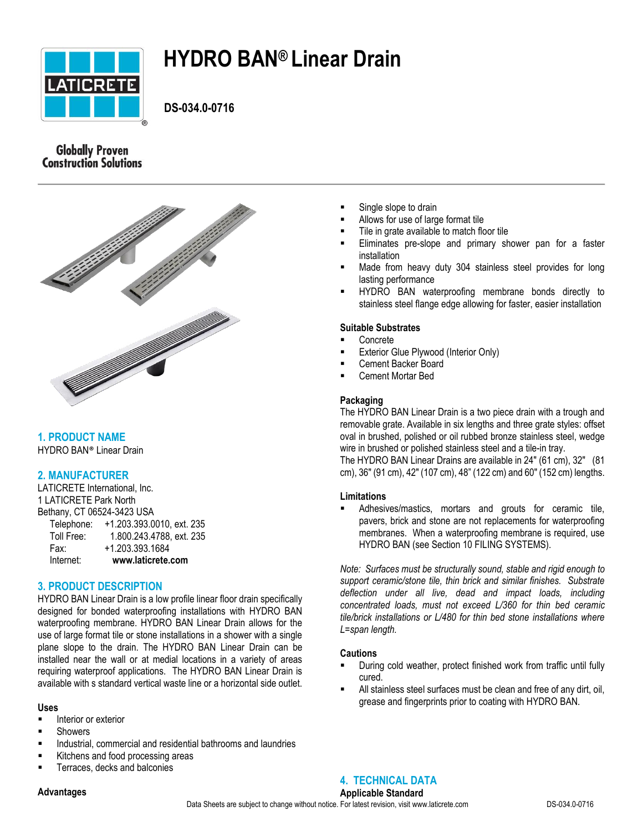

# **HYDRO BAN® Linear Drain**

 **DS-034.0-0716**

# **Globally Proven Construction Solutions**



# **1. PRODUCT NAME**

HYDRO BAN® Linear Drain

# **2. MANUFACTURER**

LATICRETE International, Inc. 1 LATICRETE Park North Bethany, CT 06524-3423 USA Telephone: +1.203.393.0010, ext. 235 Toll Free: 1.800.243.4788, ext. 235 Fax: +1.203.393.1684 Internet: **www.laticrete.com**

# **3. PRODUCT DESCRIPTION**

HYDRO BAN Linear Drain is a low profile linear floor drain specifically designed for bonded waterproofing installations with HYDRO BAN waterproofing membrane. HYDRO BAN Linear Drain allows for the use of large format tile or stone installations in a shower with a single plane slope to the drain. The HYDRO BAN Linear Drain can be installed near the wall or at medial locations in a variety of areas requiring waterproof applications. The HYDRO BAN Linear Drain is available with s standard vertical waste line or a horizontal side outlet.

#### **Uses**

- **Interior or exterior**
- **Showers**
- Industrial, commercial and residential bathrooms and laundries
- Kitchens and food processing areas
- Terraces, decks and balconies
- **Advantages**
- Single slope to drain
- Allows for use of large format tile
- Tile in grate available to match floor tile
- Eliminates pre-slope and primary shower pan for a faster installation
- Made from heavy duty 304 stainless steel provides for long lasting performance
- HYDRO BAN waterproofing membrane bonds directly to stainless steel flange edge allowing for faster, easier installation

## **Suitable Substrates**

- Concrete
- Exterior Glue Plywood (Interior Only)
- Cement Backer Board
- Cement Mortar Bed

## **Packaging**

The HYDRO BAN Linear Drain is a two piece drain with a trough and removable grate. Available in six lengths and three grate styles: offset oval in brushed, polished or oil rubbed bronze stainless steel, wedge wire in brushed or polished stainless steel and a tile-in tray.

The HYDRO BAN Linear Drains are available in 24" (61 cm), 32" (81 cm), 36" (91 cm), 42" (107 cm), 48" (122 cm) and 60" (152 cm) lengths.

#### **Limitations**

 Adhesives/mastics, mortars and grouts for ceramic tile, pavers, brick and stone are not replacements for waterproofing membranes. When a waterproofing membrane is required, use HYDRO BAN (see Section 10 FILING SYSTEMS).

*Note: Surfaces must be structurally sound, stable and rigid enough to support ceramic/stone tile, thin brick and similar finishes. Substrate deflection under all live, dead and impact loads, including concentrated loads, must not exceed L/360 for thin bed ceramic tile/brick installations or L/480 for thin bed stone installations where L=span length.*

#### **Cautions**

- During cold weather, protect finished work from traffic until fully cured.
- All stainless steel surfaces must be clean and free of any dirt, oil, grease and fingerprints prior to coating with HYDRO BAN.

**4. TECHNICAL DATA**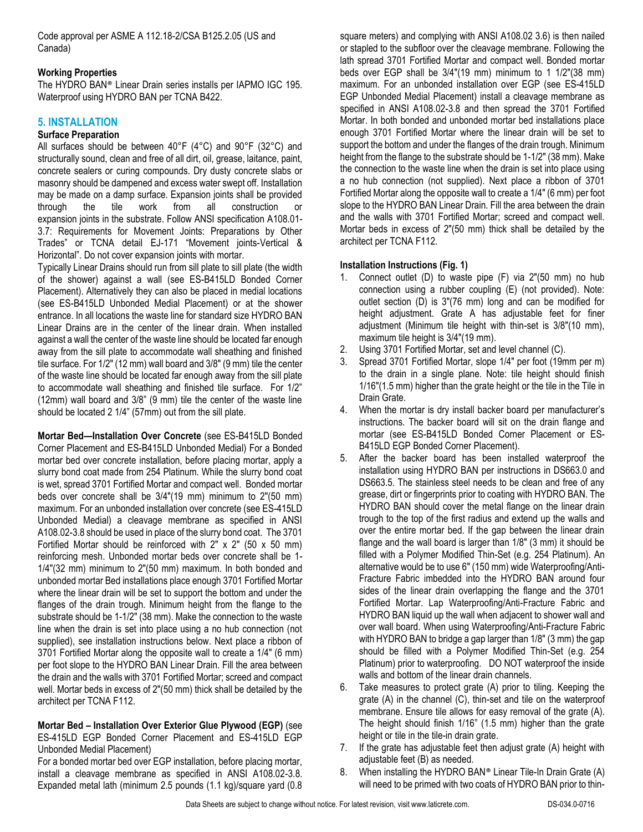Code approval per ASME A 112.18-2/CSA B125.2.05 (US and Canada)

## **Working Properties**

The HYDRO BAN® Linear Drain series installs per IAPMO IGC 195. Waterproof using HYDRO BAN per TCNA B422.

# **5. INSTALLATION**

## **Surface Preparation**

All surfaces should be between 40°F (4°C) and 90°F (32°C) and structurally sound, clean and free of all dirt, oil, grease, laitance, paint, concrete sealers or curing compounds. Dry dusty concrete slabs or masonry should be dampened and excess water swept off. Installation may be made on a damp surface. Expansion joints shall be provided<br>through the tile work from all construction or through the tile work from all construction or expansion joints in the substrate. Follow ANSI specification A108.01- 3.7: Requirements for Movement Joints: Preparations by Other Trades" or TCNA detail EJ-171 "Movement joints-Vertical & Horizontal". Do not cover expansion joints with mortar.

Typically Linear Drains should run from sill plate to sill plate (the width of the shower) against a wall (see ES-B415LD Bonded Corner Placement). Alternatively they can also be placed in medial locations (see ES-B415LD Unbonded Medial Placement) or at the shower entrance. In all locations the waste line for standard size HYDRO BAN Linear Drains are in the center of the linear drain. When installed against a wall the center of the waste line should be located far enough away from the sill plate to accommodate wall sheathing and finished tile surface. For 1/2" (12 mm) wall board and 3/8" (9 mm) tile the center of the waste line should be located far enough away from the sill plate to accommodate wall sheathing and finished tile surface. For 1/2" (12mm) wall board and 3/8" (9 mm) tile the center of the waste line should be located 2 1/4" (57mm) out from the sill plate.

**Mortar Bed—Installation Over Concrete** (see ES-B415LD Bonded Corner Placement and ES-B415LD Unbonded Medial) For a Bonded mortar bed over concrete installation, before placing mortar, apply a slurry bond coat made from 254 Platinum. While the slurry bond coat is wet, spread 3701 Fortified Mortar and compact well. Bonded mortar beds over concrete shall be 3/4"(19 mm) minimum to 2"(50 mm) maximum. For an unbonded installation over concrete (see ES-415LD Unbonded Medial) a cleavage membrane as specified in ANSI A108.02-3.8 should be used in place of the slurry bond coat. The 3701 Fortified Mortar should be reinforced with  $2'' \times 2''$  (50 x 50 mm) reinforcing mesh. Unbonded mortar beds over concrete shall be 1- 1/4"(32 mm) minimum to 2"(50 mm) maximum. In both bonded and unbonded mortar Bed installations place enough 3701 Fortified Mortar where the linear drain will be set to support the bottom and under the flanges of the drain trough. Minimum height from the flange to the substrate should be 1-1/2" (38 mm). Make the connection to the waste line when the drain is set into place using a no hub connection (not supplied), see installation instructions below. Next place a ribbon of 3701 Fortified Mortar along the opposite wall to create a 1/4" (6 mm) per foot slope to the HYDRO BAN Linear Drain. Fill the area between the drain and the walls with 3701 Fortified Mortar; screed and compact well. Mortar beds in excess of 2"(50 mm) thick shall be detailed by the architect per TCNA F112.

**Mortar Bed – Installation Over Exterior Glue Plywood (EGP)** (see ES-415LD EGP Bonded Corner Placement and ES-415LD EGP Unbonded Medial Placement)

For a bonded mortar bed over EGP installation, before placing mortar, install a cleavage membrane as specified in ANSI A108.02-3.8. Expanded metal lath (minimum 2.5 pounds (1.1 kg)/square yard (0.8

square meters) and complying with ANSI A108.02 3.6) is then nailed or stapled to the subfloor over the cleavage membrane. Following the lath spread 3701 Fortified Mortar and compact well. Bonded mortar beds over EGP shall be 3/4"(19 mm) minimum to 1 1/2"(38 mm) maximum. For an unbonded installation over EGP (see ES-415LD EGP Unbonded Medial Placement) install a cleavage membrane as specified in ANSI A108.02-3.8 and then spread the 3701 Fortified Mortar. In both bonded and unbonded mortar bed installations place enough 3701 Fortified Mortar where the linear drain will be set to support the bottom and under the flanges of the drain trough. Minimum height from the flange to the substrate should be 1-1/2" (38 mm). Make the connection to the waste line when the drain is set into place using a no hub connection (not supplied). Next place a ribbon of 3701 Fortified Mortar along the opposite wall to create a 1/4" (6 mm) per foot slope to the HYDRO BAN Linear Drain. Fill the area between the drain and the walls with 3701 Fortified Mortar; screed and compact well. Mortar beds in excess of 2"(50 mm) thick shall be detailed by the architect per TCNA F112.

## **Installation Instructions (Fig. 1)**

- 1. Connect outlet (D) to waste pipe (F) via 2"(50 mm) no hub connection using a rubber coupling (E) (not provided). Note: outlet section (D) is 3"(76 mm) long and can be modified for height adjustment. Grate A has adjustable feet for finer adjustment (Minimum tile height with thin-set is 3/8"(10 mm), maximum tile height is 3/4"(19 mm).
- 2. Using 3701 Fortified Mortar, set and level channel (C).
- 3. Spread 3701 Fortified Mortar, slope 1/4" per foot (19mm per m) to the drain in a single plane. Note: tile height should finish 1/16"(1.5 mm) higher than the grate height or the tile in the Tile in Drain Grate.
- 4. When the mortar is dry install backer board per manufacturer's instructions. The backer board will sit on the drain flange and mortar (see ES-B415LD Bonded Corner Placement or ES-B415LD EGP Bonded Corner Placement).
- 5. After the backer board has been installed waterproof the installation using HYDRO BAN per instructions in DS663.0 and DS663.5. The stainless steel needs to be clean and free of any grease, dirt or fingerprints prior to coating with HYDRO BAN. The HYDRO BAN should cover the metal flange on the linear drain trough to the top of the first radius and extend up the walls and over the entire mortar bed. If the gap between the linear drain flange and the wall board is larger than 1/8" (3 mm) it should be filled with a Polymer Modified Thin-Set (e.g. 254 Platinum). An alternative would be to use 6" (150 mm) wide Waterproofing/Anti-Fracture Fabric imbedded into the HYDRO BAN around four sides of the linear drain overlapping the flange and the 3701 Fortified Mortar. Lap Waterproofing/Anti-Fracture Fabric and HYDRO BAN liquid up the wall when adjacent to shower wall and over wall board. When using Waterproofing/Anti-Fracture Fabric with HYDRO BAN to bridge a gap larger than 1/8" (3 mm) the gap should be filled with a Polymer Modified Thin-Set (e.g. 254 Platinum) prior to waterproofing. DO NOT waterproof the inside walls and bottom of the linear drain channels.
- 6. Take measures to protect grate (A) prior to tiling. Keeping the grate (A) in the channel (C), thin-set and tile on the waterproof membrane. Ensure tile allows for easy removal of the grate (A). The height should finish 1/16" (1.5 mm) higher than the grate height or tile in the tile-in drain grate.
- 7. If the grate has adjustable feet then adjust grate (A) height with adjustable feet (B) as needed.
- 8. When installing the HYDRO BAN® Linear Tile-In Drain Grate (A) will need to be primed with two coats of HYDRO BAN prior to thin-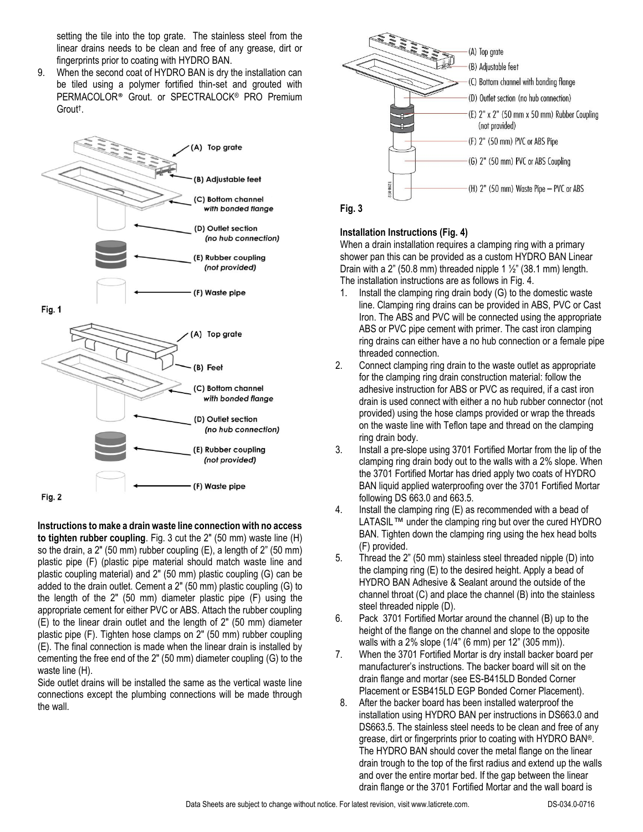setting the tile into the top grate. The stainless steel from the linear drains needs to be clean and free of any grease, dirt or fingerprints prior to coating with HYDRO BAN.

9. When the second coat of HYDRO BAN is dry the installation can be tiled using a polymer fortified thin-set and grouted with PERMACOLOR® Grout. or SPECTRALOCK® PRO Premium Grout† .



**Instructions to make a drain waste line connection with no access to tighten rubber coupling**. Fig. 3 cut the 2" (50 mm) waste line (H) so the drain, a 2" (50 mm) rubber coupling (E), a length of 2" (50 mm) plastic pipe (F) (plastic pipe material should match waste line and plastic coupling material) and 2" (50 mm) plastic coupling (G) can be added to the drain outlet. Cement a 2" (50 mm) plastic coupling (G) to the length of the 2" (50 mm) diameter plastic pipe (F) using the appropriate cement for either PVC or ABS. Attach the rubber coupling (E) to the linear drain outlet and the length of 2" (50 mm) diameter plastic pipe (F). Tighten hose clamps on 2" (50 mm) rubber coupling (E). The final connection is made when the linear drain is installed by cementing the free end of the 2" (50 mm) diameter coupling (G) to the waste line (H).

Side outlet drains will be installed the same as the vertical waste line connections except the plumbing connections will be made through the wall.



## **Installation Instructions (Fig. 4)**

When a drain installation requires a clamping ring with a primary shower pan this can be provided as a custom HYDRO BAN Linear Drain with a  $2$ " (50.8 mm) threaded nipple 1  $\frac{1}{2}$ " (38.1 mm) length. The installation instructions are as follows in Fig. 4.

- 1. Install the clamping ring drain body (G) to the domestic waste line. Clamping ring drains can be provided in ABS, PVC or Cast Iron. The ABS and PVC will be connected using the appropriate ABS or PVC pipe cement with primer. The cast iron clamping ring drains can either have a no hub connection or a female pipe threaded connection.
- 2. Connect clamping ring drain to the waste outlet as appropriate for the clamping ring drain construction material: follow the adhesive instruction for ABS or PVC as required, if a cast iron drain is used connect with either a no hub rubber connector (not provided) using the hose clamps provided or wrap the threads on the waste line with Teflon tape and thread on the clamping ring drain body.
- 3. Install a pre-slope using 3701 Fortified Mortar from the lip of the clamping ring drain body out to the walls with a 2% slope. When the 3701 Fortified Mortar has dried apply two coats of HYDRO BAN liquid applied waterproofing over the 3701 Fortified Mortar following DS 663.0 and 663.5.
- 4. Install the clamping ring (E) as recommended with a bead of LATASIL™ under the clamping ring but over the cured HYDRO BAN. Tighten down the clamping ring using the hex head bolts (F) provided.
- 5. Thread the 2" (50 mm) stainless steel threaded nipple (D) into the clamping ring (E) to the desired height. Apply a bead of HYDRO BAN Adhesive & Sealant around the outside of the channel throat (C) and place the channel (B) into the stainless steel threaded nipple (D).
- 6. Pack 3701 Fortified Mortar around the channel (B) up to the height of the flange on the channel and slope to the opposite walls with a 2% slope (1/4" (6 mm) per 12" (305 mm)).
- 7. When the 3701 Fortified Mortar is dry install backer board per manufacturer's instructions. The backer board will sit on the drain flange and mortar (see ES-B415LD Bonded Corner Placement or ESB415LD EGP Bonded Corner Placement).
- 8. After the backer board has been installed waterproof the installation using HYDRO BAN per instructions in DS663.0 and DS663.5. The stainless steel needs to be clean and free of any grease, dirt or fingerprints prior to coating with HYDRO BAN®. The HYDRO BAN should cover the metal flange on the linear drain trough to the top of the first radius and extend up the walls and over the entire mortar bed. If the gap between the linear drain flange or the 3701 Fortified Mortar and the wall board is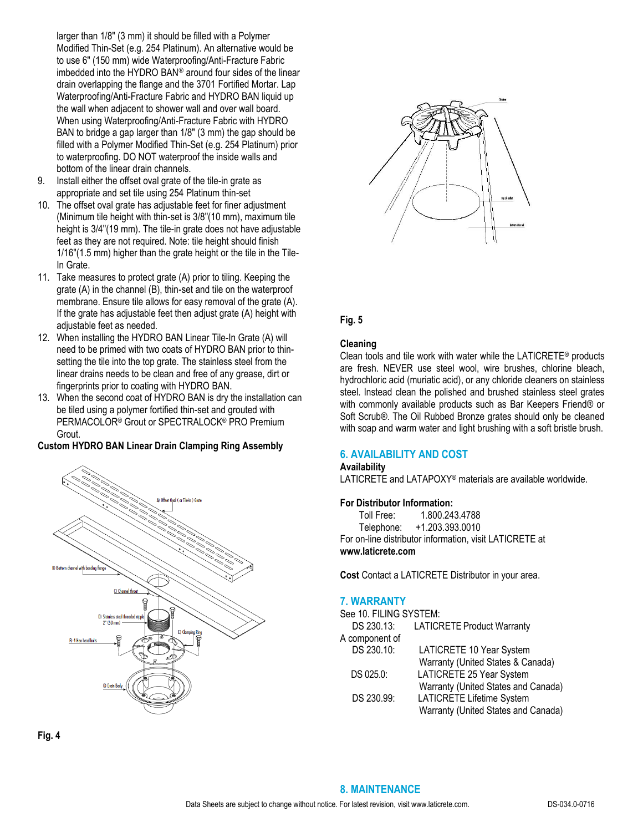larger than 1/8" (3 mm) it should be filled with a Polymer Modified Thin-Set (e.g. 254 Platinum). An alternative would be to use 6" (150 mm) wide Waterproofing/Anti-Fracture Fabric imbedded into the HYDRO BAN® around four sides of the linear drain overlapping the flange and the 3701 Fortified Mortar. Lap Waterproofing/Anti-Fracture Fabric and HYDRO BAN liquid up the wall when adjacent to shower wall and over wall board. When using Waterproofing/Anti-Fracture Fabric with HYDRO BAN to bridge a gap larger than 1/8" (3 mm) the gap should be filled with a Polymer Modified Thin-Set (e.g. 254 Platinum) prior to waterproofing. DO NOT waterproof the inside walls and bottom of the linear drain channels.

- 9. Install either the offset oval grate of the tile-in grate as appropriate and set tile using 254 Platinum thin-set
- 10. The offset oval grate has adjustable feet for finer adjustment (Minimum tile height with thin-set is 3/8"(10 mm), maximum tile height is 3/4"(19 mm). The tile-in grate does not have adjustable feet as they are not required. Note: tile height should finish 1/16"(1.5 mm) higher than the grate height or the tile in the Tile-In Grate.
- 11. Take measures to protect grate (A) prior to tiling. Keeping the grate (A) in the channel (B), thin-set and tile on the waterproof membrane. Ensure tile allows for easy removal of the grate (A). If the grate has adjustable feet then adjust grate (A) height with adjustable feet as needed.
- 12. When installing the HYDRO BAN Linear Tile-In Grate (A) will need to be primed with two coats of HYDRO BAN prior to thinsetting the tile into the top grate. The stainless steel from the linear drains needs to be clean and free of any grease, dirt or fingerprints prior to coating with HYDRO BAN.
- 13. When the second coat of HYDRO BAN is dry the installation can be tiled using a polymer fortified thin-set and grouted with PERMACOLOR® Grout or SPECTRALOCK® PRO Premium Grout.

#### **Custom HYDRO BAN Linear Drain Clamping Ring Assembly**





#### **Fig. 5**

#### **Cleaning**

Clean tools and tile work with water while the LATICRETE® products are fresh. NEVER use steel wool, wire brushes, chlorine bleach, hydrochloric acid (muriatic acid), or any chloride cleaners on stainless steel. Instead clean the polished and brushed stainless steel grates with commonly available products such as Bar Keepers Friend® or Soft Scrub®. The Oil Rubbed Bronze grates should only be cleaned with soap and warm water and light brushing with a soft bristle brush.

#### **6. AVAILABILITY AND COST**

#### **Availability**

LATICRETE and LATAPOXY® materials are available worldwide.

#### **For Distributor Information:**

Toll Free: 1.800.243.4788 Telephone: +1.203.393.0010 For on-line distributor information, visit LATICRETE at **www.laticrete.com**

**Cost** Contact a LATICRETE Distributor in your area.

#### **7. WARRANTY**

| See 10. FILING SYSTEM: |                                     |
|------------------------|-------------------------------------|
| DS 230.13:             | <b>LATICRETE Product Warranty</b>   |
| A component of         |                                     |
| DS 230.10:             | LATICRETE 10 Year System            |
|                        | Warranty (United States & Canada)   |
| DS 025.0:              | LATICRETE 25 Year System            |
|                        | Warranty (United States and Canada) |
| DS 230.99:             | LATICRETE Lifetime System           |
|                        | Warranty (United States and Canada) |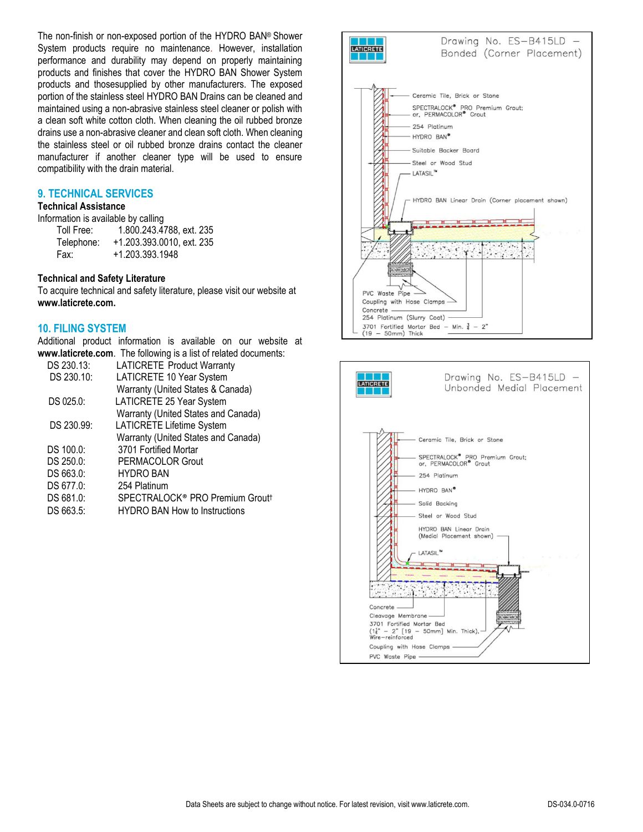The non-finish or non-exposed portion of the HYDRO BAN® Shower System products require no maintenance. However, installation performance and durability may depend on properly maintaining products and finishes that cover the HYDRO BAN Shower System products and thosesupplied by other manufacturers. The exposed portion of the stainless steel HYDRO BAN Drains can be cleaned and maintained using a non-abrasive stainless steel cleaner or polish with a clean soft white cotton cloth. When cleaning the oil rubbed bronze drains use a non-abrasive cleaner and clean soft cloth. When cleaning the stainless steel or oil rubbed bronze drains contact the cleaner manufacturer if another cleaner type will be used to ensure compatibility with the drain material.

# **9. TECHNICAL SERVICES**

# **Technical Assistance**

| Information is available by calling |                           |  |  |  |  |
|-------------------------------------|---------------------------|--|--|--|--|
| Toll Free:                          | 1.800.243.4788, ext. 235  |  |  |  |  |
| Telephone:                          | +1.203.393.0010, ext. 235 |  |  |  |  |
| Fax:                                | +1.203.393.1948           |  |  |  |  |

#### **Technical and Safety Literature**

To acquire technical and safety literature, please visit our website at **www.laticrete.com.**

#### **10. FILING SYSTEM**

|  | Additional product information is available on our website at    |  |  |  |
|--|------------------------------------------------------------------|--|--|--|
|  | www.laticrete.com. The following is a list of related documents: |  |  |  |

| DS 230.13: | <b>LATICRETE Product Warranty</b>                       |
|------------|---------------------------------------------------------|
| DS 230.10: | LATICRETE 10 Year System                                |
|            | Warranty (United States & Canada)                       |
| DS 025.0:  | LATICRETE 25 Year System                                |
|            | Warranty (United States and Canada)                     |
| DS 230.99: | <b>LATICRETE Lifetime System</b>                        |
|            | Warranty (United States and Canada)                     |
| DS 100.0:  | 3701 Fortified Mortar                                   |
| DS 250.0:  | PERMACOLOR Grout                                        |
| DS 663.0:  | <b>HYDRO BAN</b>                                        |
| DS 677.0:  | 254 Platinum                                            |
| DS 681.0:  | SPECTRALOCK <sup>®</sup> PRO Premium Grout <sup>†</sup> |
| DS 663.5:  | <b>HYDRO BAN How to Instructions</b>                    |
|            |                                                         |